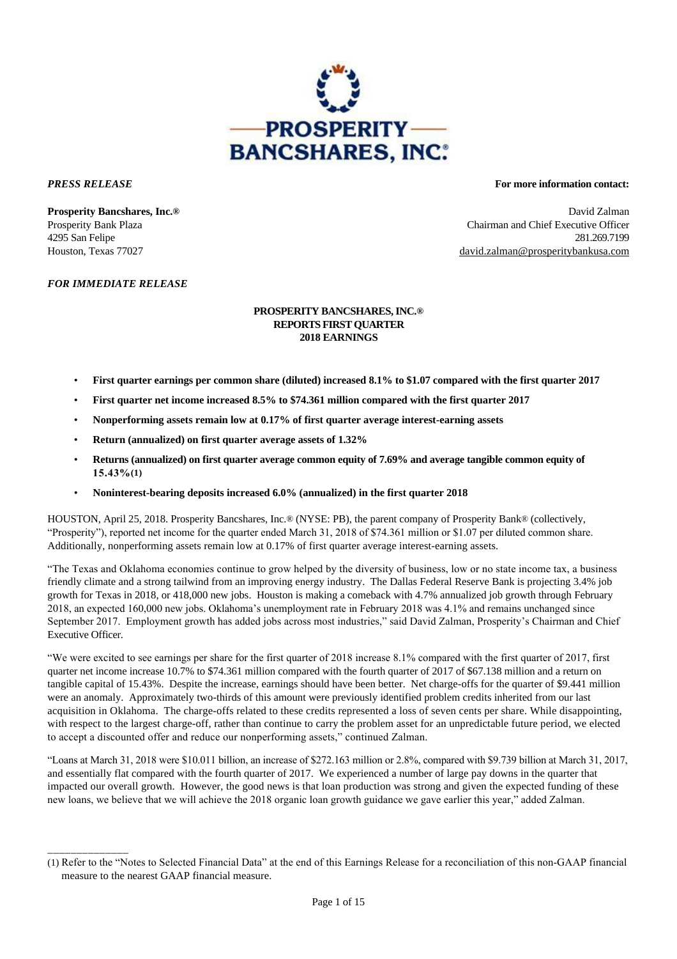

\_\_\_\_\_\_\_\_\_\_\_\_\_\_

# *FOR IMMEDIATE RELEASE*

### *PRESS RELEASE* **For more information contact:**

**Prosperity Bancshares, Inc.®** David Zalman Prosperity Bank Plaza Chairman and Chief Executive Officer 4295 San Felipe 281.269.7199 Houston, Texas 77027 david.zalman@prosperitybankusa.com

### **PROSPERITY BANCSHARES, INC.® REPORTS FIRST QUARTER 2018 EARNINGS**

- **First quarter earnings per common share (diluted) increased 8.1% to \$1.07 compared with the first quarter 2017**
- **First quarter net income increased 8.5% to \$74.361 million compared with the first quarter 2017**
- **Nonperforming assets remain low at 0.17% of first quarter average interest-earning assets**
- **Return (annualized) on first quarter average assets of 1.32%**
- **Returns (annualized) on first quarter average common equity of 7.69% and average tangible common equity of 15.43%(1)**
- **Noninterest-bearing deposits increased 6.0% (annualized) in the first quarter 2018**

HOUSTON, April 25, 2018. Prosperity Bancshares, Inc.® (NYSE: PB), the parent company of Prosperity Bank® (collectively, "Prosperity"), reported net income for the quarter ended March 31, 2018 of \$74.361 million or \$1.07 per diluted common share. Additionally, nonperforming assets remain low at 0.17% of first quarter average interest-earning assets.

"The Texas and Oklahoma economies continue to grow helped by the diversity of business, low or no state income tax, a business friendly climate and a strong tailwind from an improving energy industry. The Dallas Federal Reserve Bank is projecting 3.4% job growth for Texas in 2018, or 418,000 new jobs. Houston is making a comeback with 4.7% annualized job growth through February 2018, an expected 160,000 new jobs. Oklahoma's unemployment rate in February 2018 was 4.1% and remains unchanged since September 2017. Employment growth has added jobs across most industries," said David Zalman, Prosperity's Chairman and Chief Executive Officer.

"We were excited to see earnings per share for the first quarter of 2018 increase 8.1% compared with the first quarter of 2017, first quarter net income increase 10.7% to \$74.361 million compared with the fourth quarter of 2017 of \$67.138 million and a return on tangible capital of 15.43%. Despite the increase, earnings should have been better. Net charge-offs for the quarter of \$9.441 million were an anomaly. Approximately two-thirds of this amount were previously identified problem credits inherited from our last acquisition in Oklahoma. The charge-offs related to these credits represented a loss of seven cents per share. While disappointing, with respect to the largest charge-off, rather than continue to carry the problem asset for an unpredictable future period, we elected to accept a discounted offer and reduce our nonperforming assets," continued Zalman.

"Loans at March 31, 2018 were \$10.011 billion, an increase of \$272.163 million or 2.8%, compared with \$9.739 billion at March 31, 2017, and essentially flat compared with the fourth quarter of 2017. We experienced a number of large pay downs in the quarter that impacted our overall growth. However, the good news is that loan production was strong and given the expected funding of these new loans, we believe that we will achieve the 2018 organic loan growth guidance we gave earlier this year," added Zalman.

<sup>(1)</sup> Refer to the "Notes to Selected Financial Data" at the end of this Earnings Release for a reconciliation of this non-GAAP financial measure to the nearest GAAP financial measure.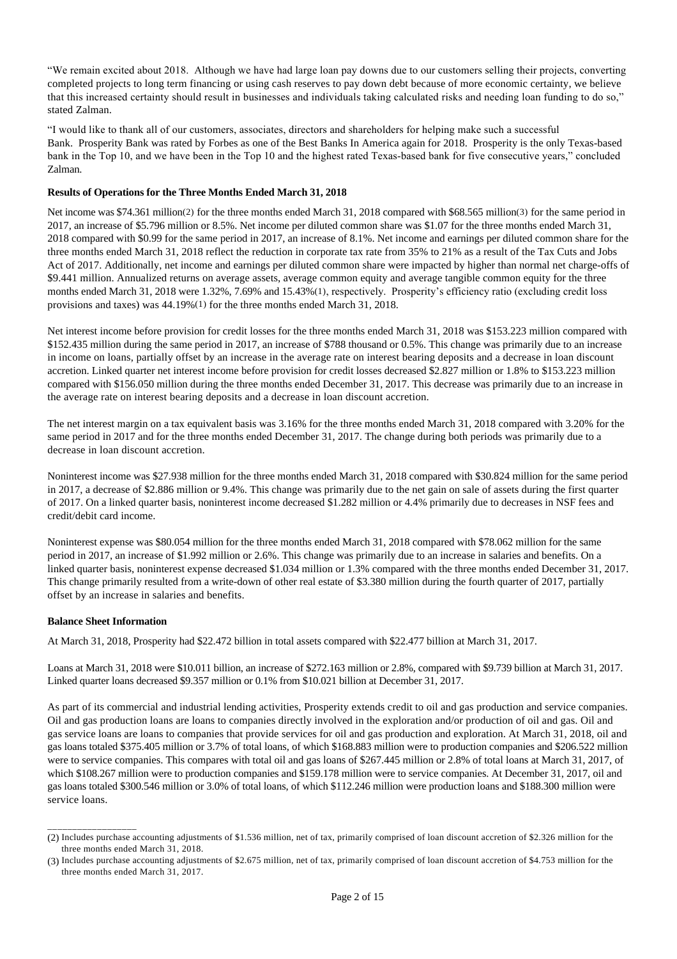"We remain excited about 2018. Although we have had large loan pay downs due to our customers selling their projects, converting completed projects to long term financing or using cash reserves to pay down debt because of more economic certainty, we believe that this increased certainty should result in businesses and individuals taking calculated risks and needing loan funding to do so," stated Zalman.

"I would like to thank all of our customers, associates, directors and shareholders for helping make such a successful Bank. Prosperity Bank was rated by Forbes as one of the Best Banks In America again for 2018. Prosperity is the only Texas-based bank in the Top 10, and we have been in the Top 10 and the highest rated Texas-based bank for five consecutive years," concluded Zalman.

### **Results of Operations for the Three Months Ended March 31, 2018**

Net income was \$74.361 million(2) for the three months ended March 31, 2018 compared with \$68.565 million(3) for the same period in 2017, an increase of \$5.796 million or 8.5%. Net income per diluted common share was \$1.07 for the three months ended March 31, 2018 compared with \$0.99 for the same period in 2017, an increase of 8.1%. Net income and earnings per diluted common share for the three months ended March 31, 2018 reflect the reduction in corporate tax rate from 35% to 21% as a result of the Tax Cuts and Jobs Act of 2017. Additionally, net income and earnings per diluted common share were impacted by higher than normal net charge-offs of \$9.441 million. Annualized returns on average assets, average common equity and average tangible common equity for the three months ended March 31, 2018 were 1.32%, 7.69% and 15.43%(1), respectively. Prosperity's efficiency ratio (excluding credit loss provisions and taxes) was 44.19%(1) for the three months ended March 31, 2018.

Net interest income before provision for credit losses for the three months ended March 31, 2018 was \$153.223 million compared with \$152.435 million during the same period in 2017, an increase of \$788 thousand or 0.5%. This change was primarily due to an increase in income on loans, partially offset by an increase in the average rate on interest bearing deposits and a decrease in loan discount accretion. Linked quarter net interest income before provision for credit losses decreased \$2.827 million or 1.8% to \$153.223 million compared with \$156.050 million during the three months ended December 31, 2017. This decrease was primarily due to an increase in the average rate on interest bearing deposits and a decrease in loan discount accretion.

The net interest margin on a tax equivalent basis was 3.16% for the three months ended March 31, 2018 compared with 3.20% for the same period in 2017 and for the three months ended December 31, 2017. The change during both periods was primarily due to a decrease in loan discount accretion.

Noninterest income was \$27.938 million for the three months ended March 31, 2018 compared with \$30.824 million for the same period in 2017, a decrease of \$2.886 million or 9.4%. This change was primarily due to the net gain on sale of assets during the first quarter of 2017. On a linked quarter basis, noninterest income decreased \$1.282 million or 4.4% primarily due to decreases in NSF fees and credit/debit card income.

Noninterest expense was \$80.054 million for the three months ended March 31, 2018 compared with \$78.062 million for the same period in 2017, an increase of \$1.992 million or 2.6%. This change was primarily due to an increase in salaries and benefits. On a linked quarter basis, noninterest expense decreased \$1.034 million or 1.3% compared with the three months ended December 31, 2017. This change primarily resulted from a write-down of other real estate of \$3.380 million during the fourth quarter of 2017, partially offset by an increase in salaries and benefits.

# **Balance Sheet Information**

\_\_\_\_\_\_\_\_\_\_\_\_\_\_\_\_\_\_\_\_\_\_\_\_

At March 31, 2018, Prosperity had \$22.472 billion in total assets compared with \$22.477 billion at March 31, 2017.

Loans at March 31, 2018 were \$10.011 billion, an increase of \$272.163 million or 2.8%, compared with \$9.739 billion at March 31, 2017. Linked quarter loans decreased \$9.357 million or 0.1% from \$10.021 billion at December 31, 2017.

As part of its commercial and industrial lending activities, Prosperity extends credit to oil and gas production and service companies. Oil and gas production loans are loans to companies directly involved in the exploration and/or production of oil and gas. Oil and gas service loans are loans to companies that provide services for oil and gas production and exploration. At March 31, 2018, oil and gas loans totaled \$375.405 million or 3.7% of total loans, of which \$168.883 million were to production companies and \$206.522 million were to service companies. This compares with total oil and gas loans of \$267.445 million or 2.8% of total loans at March 31, 2017, of which \$108.267 million were to production companies and \$159.178 million were to service companies. At December 31, 2017, oil and gas loans totaled \$300.546 million or 3.0% of total loans, of which \$112.246 million were production loans and \$188.300 million were service loans.

<sup>(2)</sup> Includes purchase accounting adjustments of \$1.536 million, net of tax, primarily comprised of loan discount accretion of \$2.326 million for the three months ended March 31, 2018.

<sup>(3)</sup> Includes purchase accounting adjustments of \$2.675 million, net of tax, primarily comprised of loan discount accretion of \$4.753 million for the three months ended March 31, 2017.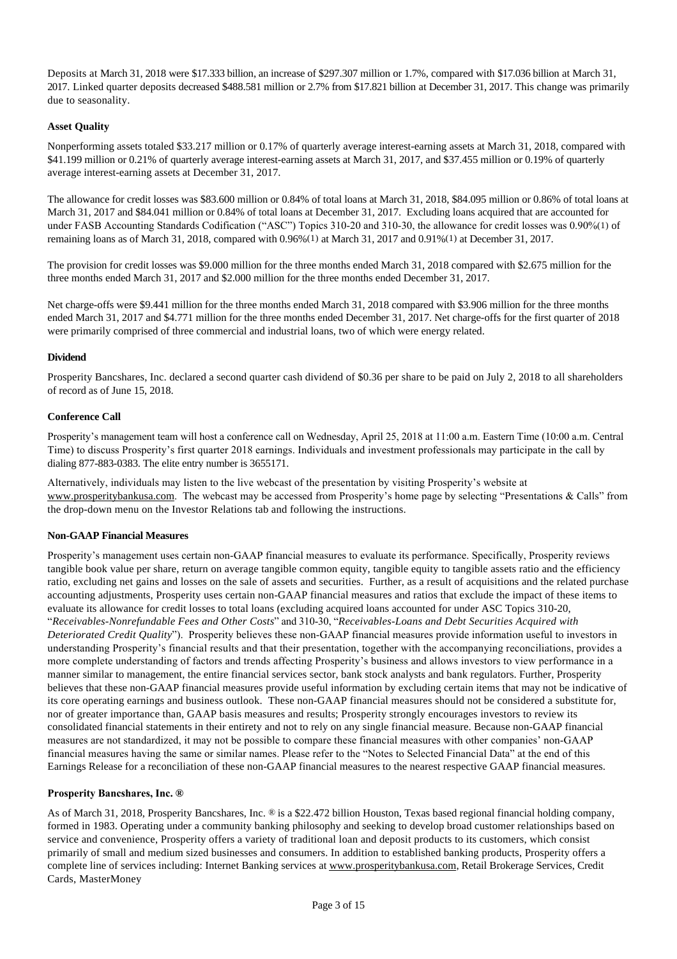Deposits at March 31, 2018 were \$17.333 billion, an increase of \$297.307 million or 1.7%, compared with \$17.036 billion at March 31, 2017. Linked quarter deposits decreased \$488.581 million or 2.7% from \$17.821 billion at December 31, 2017. This change was primarily due to seasonality.

# **Asset Quality**

Nonperforming assets totaled \$33.217 million or 0.17% of quarterly average interest-earning assets at March 31, 2018, compared with \$41.199 million or 0.21% of quarterly average interest-earning assets at March 31, 2017, and \$37.455 million or 0.19% of quarterly average interest-earning assets at December 31, 2017.

The allowance for credit losses was \$83.600 million or 0.84% of total loans at March 31, 2018, \$84.095 million or 0.86% of total loans at March 31, 2017 and \$84.041 million or 0.84% of total loans at December 31, 2017. Excluding loans acquired that are accounted for under FASB Accounting Standards Codification ("ASC") Topics 310-20 and 310-30, the allowance for credit losses was 0.90%(1) of remaining loans as of March 31, 2018, compared with 0.96%(1) at March 31, 2017 and 0.91%(1) at December 31, 2017.

The provision for credit losses was \$9.000 million for the three months ended March 31, 2018 compared with \$2.675 million for the three months ended March 31, 2017 and \$2.000 million for the three months ended December 31, 2017.

Net charge-offs were \$9.441 million for the three months ended March 31, 2018 compared with \$3.906 million for the three months ended March 31, 2017 and \$4.771 million for the three months ended December 31, 2017. Net charge-offs for the first quarter of 2018 were primarily comprised of three commercial and industrial loans, two of which were energy related.

# **Dividend**

Prosperity Bancshares, Inc. declared a second quarter cash dividend of \$0.36 per share to be paid on July 2, 2018 to all shareholders of record as of June 15, 2018.

# **Conference Call**

Prosperity's management team will host a conference call on Wednesday, April 25, 2018 at 11:00 a.m. Eastern Time (10:00 a.m. Central Time) to discuss Prosperity's first quarter 2018 earnings. Individuals and investment professionals may participate in the call by dialing 877-883-0383. The elite entry number is 3655171.

Alternatively, individuals may listen to the live webcast of the presentation by visiting Prosperity's website at www.prosperitybankusa.com. The webcast may be accessed from Prosperity's home page by selecting "Presentations & Calls" from the drop-down menu on the Investor Relations tab and following the instructions.

# **Non-GAAP Financial Measures**

Prosperity's management uses certain non-GAAP financial measures to evaluate its performance. Specifically, Prosperity reviews tangible book value per share, return on average tangible common equity, tangible equity to tangible assets ratio and the efficiency ratio, excluding net gains and losses on the sale of assets and securities. Further, as a result of acquisitions and the related purchase accounting adjustments, Prosperity uses certain non-GAAP financial measures and ratios that exclude the impact of these items to evaluate its allowance for credit losses to total loans (excluding acquired loans accounted for under ASC Topics 310-20, "*Receivables-Nonrefundable Fees and Other Costs*" and 310-30, "*Receivables-Loans and Debt Securities Acquired with Deteriorated Credit Quality*"). Prosperity believes these non-GAAP financial measures provide information useful to investors in understanding Prosperity's financial results and that their presentation, together with the accompanying reconciliations, provides a more complete understanding of factors and trends affecting Prosperity's business and allows investors to view performance in a manner similar to management, the entire financial services sector, bank stock analysts and bank regulators. Further, Prosperity believes that these non-GAAP financial measures provide useful information by excluding certain items that may not be indicative of its core operating earnings and business outlook. These non-GAAP financial measures should not be considered a substitute for, nor of greater importance than, GAAP basis measures and results; Prosperity strongly encourages investors to review its consolidated financial statements in their entirety and not to rely on any single financial measure. Because non-GAAP financial measures are not standardized, it may not be possible to compare these financial measures with other companies' non-GAAP financial measures having the same or similar names. Please refer to the "Notes to Selected Financial Data" at the end of this Earnings Release for a reconciliation of these non-GAAP financial measures to the nearest respective GAAP financial measures.

# **Prosperity Bancshares, Inc. ®**

As of March 31, 2018, Prosperity Bancshares, Inc. ® is a \$22.472 billion Houston, Texas based regional financial holding company, formed in 1983. Operating under a community banking philosophy and seeking to develop broad customer relationships based on service and convenience, Prosperity offers a variety of traditional loan and deposit products to its customers, which consist primarily of small and medium sized businesses and consumers. In addition to established banking products, Prosperity offers a complete line of services including: Internet Banking services at www.prosperitybankusa.com, Retail Brokerage Services, Credit Cards, MasterMoney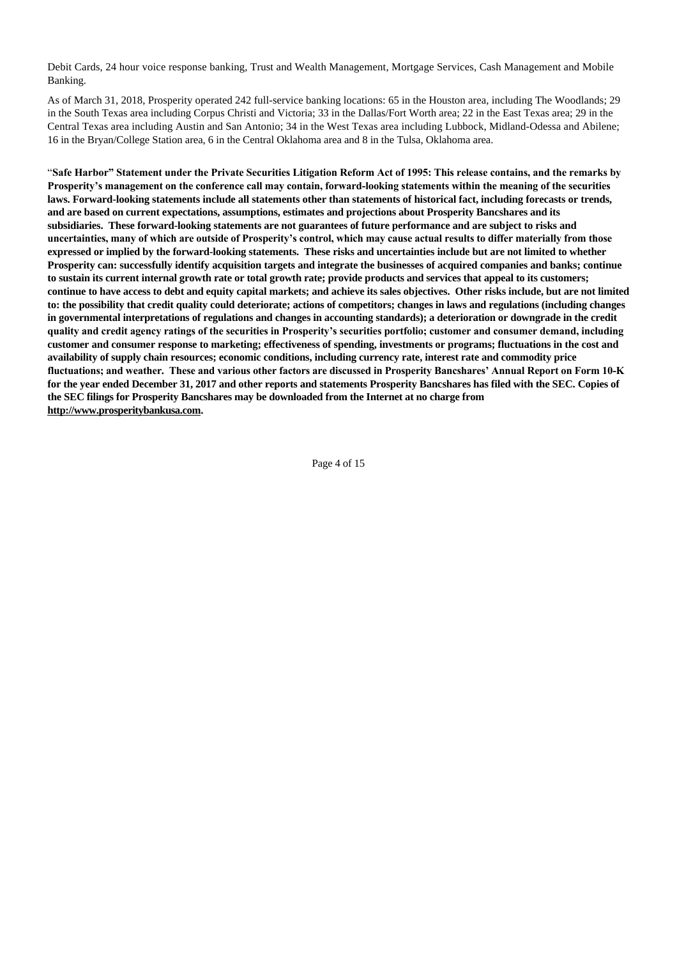Debit Cards, 24 hour voice response banking, Trust and Wealth Management, Mortgage Services, Cash Management and Mobile Banking.

As of March 31, 2018, Prosperity operated 242 full-service banking locations: 65 in the Houston area, including The Woodlands; 29 in the South Texas area including Corpus Christi and Victoria; 33 in the Dallas/Fort Worth area; 22 in the East Texas area; 29 in the Central Texas area including Austin and San Antonio; 34 in the West Texas area including Lubbock, Midland-Odessa and Abilene; 16 in the Bryan/College Station area, 6 in the Central Oklahoma area and 8 in the Tulsa, Oklahoma area.

"**Safe Harbor" Statement under the Private Securities Litigation Reform Act of 1995: This release contains, and the remarks by Prosperity's management on the conference call may contain, forward-looking statements within the meaning of the securities laws. Forward-looking statements include all statements other than statements of historical fact, including forecasts or trends, and are based on current expectations, assumptions, estimates and projections about Prosperity Bancshares and its subsidiaries. These forward-looking statements are not guarantees of future performance and are subject to risks and uncertainties, many of which are outside of Prosperity's control, which may cause actual results to differ materially from those expressed or implied by the forward-looking statements. These risks and uncertainties include but are not limited to whether Prosperity can: successfully identify acquisition targets and integrate the businesses of acquired companies and banks; continue to sustain its current internal growth rate or total growth rate; provide products and services that appeal to its customers; continue to have access to debt and equity capital markets; and achieve its sales objectives. Other risks include, but are not limited to: the possibility that credit quality could deteriorate; actions of competitors; changes in laws and regulations (including changes in governmental interpretations of regulations and changes in accounting standards); a deterioration or downgrade in the credit quality and credit agency ratings of the securities in Prosperity's securities portfolio; customer and consumer demand, including customer and consumer response to marketing; effectiveness of spending, investments or programs; fluctuations in the cost and availability of supply chain resources; economic conditions, including currency rate, interest rate and commodity price fluctuations; and weather. These and various other factors are discussed in Prosperity Bancshares' Annual Report on Form 10-K for the year ended December 31, 2017 and other reports and statements Prosperity Bancshares has filed with the SEC. Copies of the SEC filings for Prosperity Bancshares may be downloaded from the Internet at no charge from http://www.prosperitybankusa.com.**

Page 4 of 15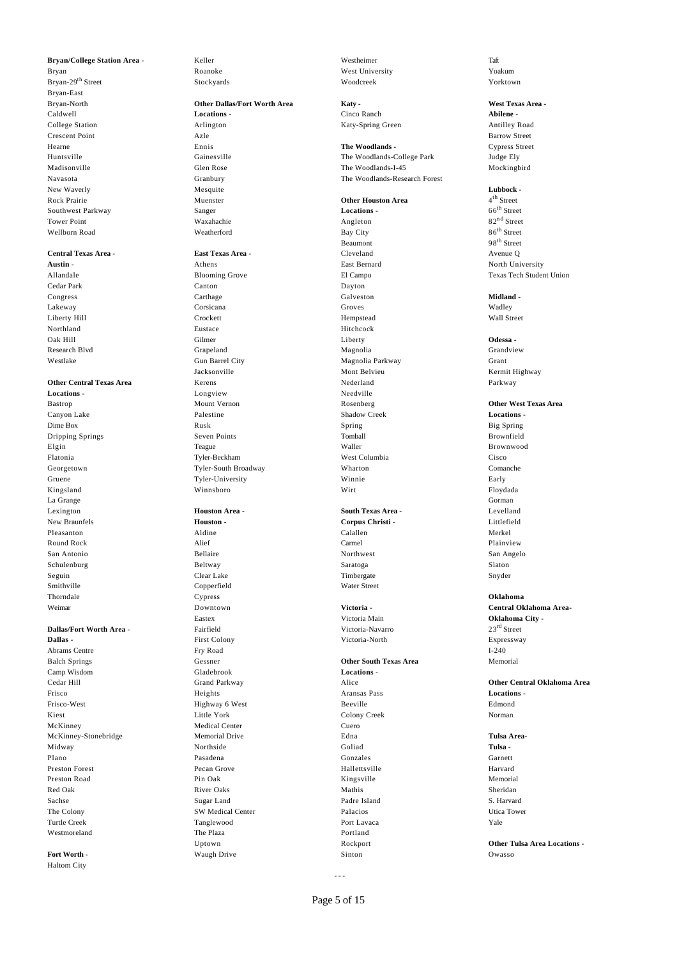**Bryan/College Station Area -** Keller **College Station Area -** Keller **College Station Area -** Keller **West University West University Prop** Bryan Roanoke Roanoke West University West University Noakum Bryan-29th Street Stockyards Woodcreek Yorktown Bryan-East Bryan-North **Other Dallas/Fort Worth Area Katy - West Texas Area -** Caldwell **Locations -** Cinco Ranch **Abilene -** College Station Arlington Katy-Spring Green Antilley Road Crescent Point **Azle** Azle **Barrow Street** New Waverly **Lubbock - Lubbock - Mesquite Mesquite Lubbock - Lubbock - Lubbock - Lubbock -**   $\blacksquare$ Rock Prairie **Muenster** Muenster **Other Houston Area** 4<sup>4</sup> Southwest Parkway **Sanger** Sanger **Locations -** 66<sup>th</sup> Street 66<sup>th</sup> Street 10 over Point 8<sup>2<sup>nd</sup> Street 10 over Point 8<sup>2nd</sup> Street</sup> Tower Point 6 192<sup>nd</sup> Street Waxahachie Angleton Angleton 82<sup>nd</sup> Street

### **Dallas/Fort Worth Area -** Fairfield Fairfield Victoria-Navarro 23<sup>rd</sup> Street

Abrams Centre **Fry Road** Fry Road I-240 Balch Springs Gessner **Other South Texas Area** Memorial Camp Wisdom Gladebrook **Locations -** Frisco Heights Aransas Pass **Locations -** Frisco-West Highway 6 West Beeville Edmond Kiest Little York Colony Creek Norman McKinney Medical Center Cuero McKinney-Stonebridge Memorial Drive Edna **Tulsa Area-**Midway **Northside Goliad Goliad Tulsa -** Coliad Tulsa - Coliad Tulsa - Coliad Tulsa - Coliad Tulsa - Coliad Tulsa -Plano Pasadena Gonzales Garnett Preston Forest Pecan Grove Hallettsville Harvard Preston Road Nemorial Pin Oak Pin Oak Kingsville Memorial Memorial Red Oak River Oaks Mathis Sheridan Sachse Sugar Land Sugar Land Padre Island S. Harvard The Colony **SW Medical Center** Palacios Palacios Utica Tower Turtle Creek Tanglewood Port Lavaca Port Lavaca Yale

Haltom City

**Austin - Athens Athens Australian East Bernard Community Community Community Community Community Community Community Community Community Community Community Community Community Community Community Community Community Comm** Allandale Blooming Grove El Campo Texas Tech Student Union Cedar Park Canton Canton Canton Dayton Dayton Congress Carthage Galveston **Midland -** Lakeway Corsicana Groves Wadley Liberty Hill **Example 20** Crockett **Hempstead** Hempstead Wall Street Northland Eustace Hitchcock Oak Hill Gilmer Liberty **Odessa -** Research Blvd Grapeland Magnolia Grandview Westlake Gun Barrel City **Magnolia Parkway Grant** Grant Jacksonville Mont Belvieu Kermit Highway **Other Central Texas Area 6 12 Kerens 1988 1999 12 Kerens 1999 12 Nederland Parkway Parkway Locations -** Longview **Longview** Needville<br> **Robert Robert Advantagement Robert Robert Robert Robert Robert Robert Robert Robert Robert Robert Robert Robert Robert Robert Robert Robert Robert Robert Robert Robert Robert R** Bastrop Mount Vernon Rosenberg **Other West Texas Area** Canyon Lake **Locations -** Palestine Palestine Shadow Creek **Locations -**Dime Box Rusk Spring Big Spring Dripping Springs Seven Points Tomball Brownfield Elgin Teague Waller Brownwood Flatonia Tyler-Beckham West Columbia Cisco Georgetown Tyler-South Broadway Wharton Comanche Gruene Tyler-University Winnie Early Kingsland Winnsboro Wirt Floydada

Pleasanton Aldine Calallen Merkel Round Rock **Alief** Alief Carmel Carmel **Plainview** San Antonio Bellaire Northwest San Angelo Schulenburg Slaton Beltway Saratoga Saratoga Saratoga Slaton Slaton Slaton Slaton Slaton Slaton Slaton Slaton S Seguin Clear Lake Timbergate Snyder Smithville Copperfield Water Street Thorndale Cypress **Oklahoma** Weimar Downtown **Victoria - Central Oklahoma Area-**Eastex Victoria Main **Oklahoma City -** Westmoreland **The Plaza Portland Portland Portland Fort Worth -** Community Community Community Community Community Community Community Community Community Community Community Community Community Community Community Community Community Community Community Community Communi

Hearne Ennis **The Woodlands -** Cypress Street Huntsville Gainesville The Woodlands-College Park Judge Ely Madisonville Glen Rose The Woodlands-I-45 Mockingbird Navasota Granbury The Woodlands-Research Forest

Wellborn Road and So<sup>th</sup> Street Weatherford Bay City Bay City 86<sup>th</sup> Street Beaumont 98<sup>th</sup> Street **Central Texas Area - East Texas Area -** Cleveland Avenue Q La Grange Gorman Lexington **Houston Area - South Texas Area -** Levelland New Braunfels **Houston - Corpus Christi -** Littlefield

**Dallas -** First Colony **First Colony Property According Property** Victoria-North **Expressway** 

 $4^{\text{th}}$  Street<br>66<sup>th</sup> Street

Grand Parkway **Central Oklahoma Area** Alice **Other Central Oklahoma Area** 

Uptown Rockport **Other Tulsa Area Locations -**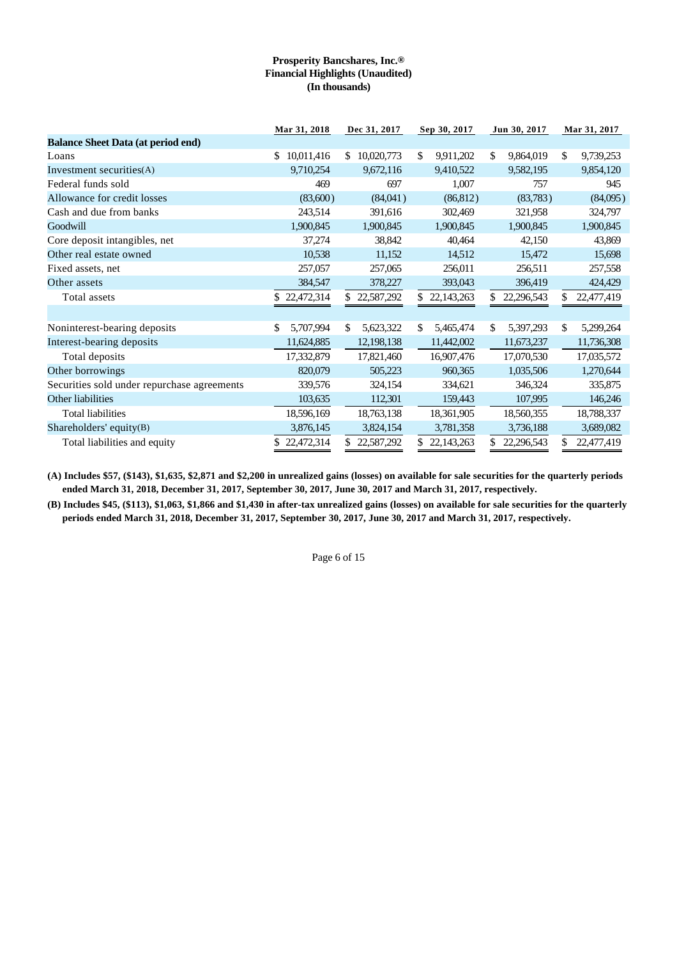|                                             | Mar 31, 2018     | Dec 31, 2017     | Sep 30, 2017     | Jun 30, 2017    | Mar 31, 2017     |
|---------------------------------------------|------------------|------------------|------------------|-----------------|------------------|
| <b>Balance Sheet Data (at period end)</b>   |                  |                  |                  |                 |                  |
| Loans                                       | \$<br>10,011,416 | \$<br>10,020,773 | \$<br>9,911,202  | \$<br>9,864,019 | \$<br>9,739,253  |
| Investment securities (A)                   | 9,710,254        | 9,672,116        | 9,410,522        | 9,582,195       | 9,854,120        |
| Federal funds sold                          | 469              | 697              | 1,007            | 757             | 945              |
| Allowance for credit losses                 | (83,600)         | (84,041)         | (86, 812)        | (83,783)        | (84,095)         |
| Cash and due from banks                     | 243,514          | 391,616          | 302,469          | 321,958         | 324,797          |
| Goodwill                                    | 1,900,845        | 1,900,845        | 1,900,845        | 1,900,845       | 1,900,845        |
| Core deposit intangibles, net               | 37,274           | 38,842           | 40,464           | 42,150          | 43,869           |
| Other real estate owned                     | 10,538           | 11,152           | 14,512           | 15,472          | 15,698           |
| Fixed assets, net                           | 257,057          | 257,065          | 256,011          | 256,511         | 257,558          |
| Other assets                                | 384,547          | 378,227          | 393,043          | 396,419         | 424,429          |
| Total assets                                | 22,472,314       | 22,587,292       | 22,143,263<br>S. | 22,296,543<br>S | 22,477,419<br>S. |
|                                             |                  |                  |                  |                 |                  |
| Noninterest-bearing deposits                | \$<br>5,707,994  | \$<br>5,623,322  | \$<br>5,465,474  | \$<br>5,397,293 | \$<br>5,299,264  |
| Interest-bearing deposits                   | 11,624,885       | 12,198,138       | 11,442,002       | 11,673,237      | 11,736,308       |
| Total deposits                              | 17,332,879       | 17,821,460       | 16,907,476       | 17,070,530      | 17,035,572       |
| Other borrowings                            | 820,079          | 505,223          | 960,365          | 1,035,506       | 1,270,644        |
| Securities sold under repurchase agreements | 339,576          | 324,154          | 334,621          | 346,324         | 335,875          |
| Other liabilities                           | 103,635          | 112,301          | 159,443          | 107,995         | 146,246          |
| <b>Total liabilities</b>                    | 18,596,169       | 18,763,138       | 18,361,905       | 18,560,355      | 18,788,337       |
| Shareholders' equity(B)                     | 3,876,145        | 3,824,154        | 3,781,358        | 3,736,188       | 3,689,082        |
| Total liabilities and equity                | 22,472,314       | 22,587,292       | 22, 143, 263     | 22,296,543      | 22,477,419       |

**(A) Includes \$57, (\$143), \$1,635, \$2,871 and \$2,200 in unrealized gains (losses) on available for sale securities for the quarterly periods ended March 31, 2018, December 31, 2017, September 30, 2017, June 30, 2017 and March 31, 2017, respectively.**

**(B) Includes \$45, (\$113), \$1,063, \$1,866 and \$1,430 in after-tax unrealized gains (losses) on available for sale securities for the quarterly periods ended March 31, 2018, December 31, 2017, September 30, 2017, June 30, 2017 and March 31, 2017, respectively.**

Page 6 of 15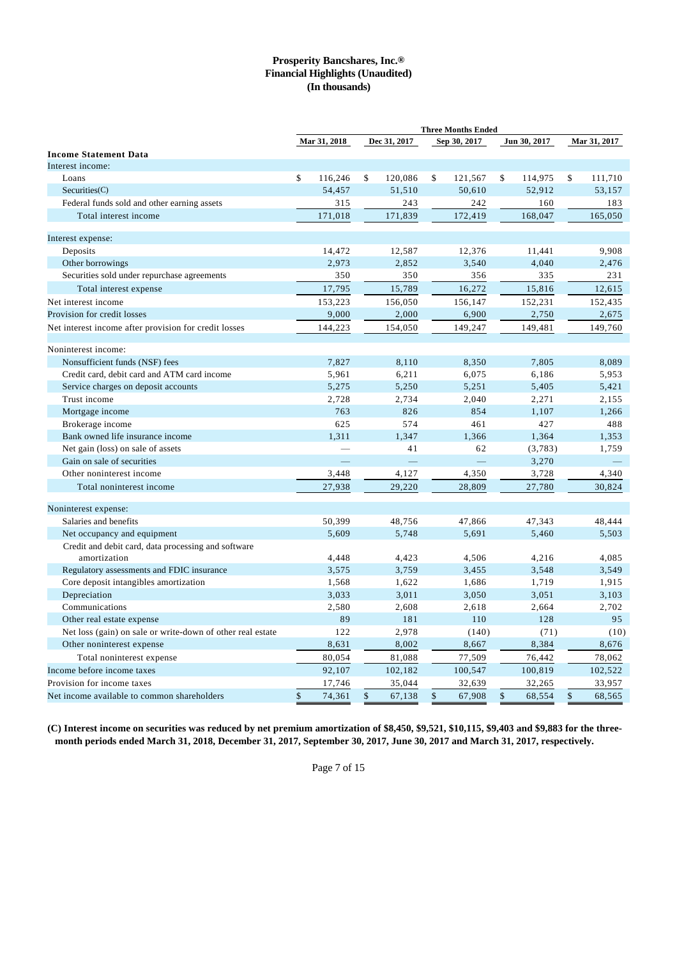|                                                            |               |                           |              | <b>Three Months Ended</b> | Jun 30, 2017<br>114,975<br>52,912<br>160<br>168,047<br>11,441<br>4,040<br>335<br>15,816<br>152,231<br>2,750<br>149,481<br>7,805<br>6,186<br>5,405<br>2,271<br>1,107<br>427<br>1,364<br>(3,783)<br>3,270<br>3,728<br>27,780<br>47,343<br>5,460<br>4,216<br>3,548<br>1,719<br>3,051<br>2,664<br>128<br>(71)<br>8,384<br>76,442 |               |              |  |
|------------------------------------------------------------|---------------|---------------------------|--------------|---------------------------|------------------------------------------------------------------------------------------------------------------------------------------------------------------------------------------------------------------------------------------------------------------------------------------------------------------------------|---------------|--------------|--|
|                                                            | Mar 31, 2018  |                           | Dec 31, 2017 | Sep 30, 2017              |                                                                                                                                                                                                                                                                                                                              |               | Mar 31, 2017 |  |
| <b>Income Statement Data</b>                               |               |                           |              |                           |                                                                                                                                                                                                                                                                                                                              |               |              |  |
| Interest income:                                           |               |                           |              |                           |                                                                                                                                                                                                                                                                                                                              |               |              |  |
| Loans                                                      | \$<br>116,246 | \$                        | 120,086      | \$<br>121,567             | \$                                                                                                                                                                                                                                                                                                                           | \$            | 111,710      |  |
| Securities(C)                                              | 54,457        |                           | 51,510       | 50,610                    |                                                                                                                                                                                                                                                                                                                              |               | 53,157       |  |
| Federal funds sold and other earning assets                | 315           |                           | 243          | 242                       |                                                                                                                                                                                                                                                                                                                              |               | 183          |  |
| Total interest income                                      | 171,018       |                           | 171,839      | 172,419                   |                                                                                                                                                                                                                                                                                                                              |               | 165,050      |  |
| Interest expense:                                          |               |                           |              |                           |                                                                                                                                                                                                                                                                                                                              |               |              |  |
| Deposits                                                   | 14,472        |                           | 12,587       | 12,376                    |                                                                                                                                                                                                                                                                                                                              |               | 9,908        |  |
| Other borrowings                                           | 2,973         |                           | 2,852        | 3,540                     |                                                                                                                                                                                                                                                                                                                              |               | 2,476        |  |
| Securities sold under repurchase agreements                | 350           |                           | 350          | 356                       |                                                                                                                                                                                                                                                                                                                              |               | 231          |  |
| Total interest expense                                     | 17,795        |                           | 15,789       | 16,272                    |                                                                                                                                                                                                                                                                                                                              |               | 12,615       |  |
| Net interest income                                        | 153,223       |                           | 156,050      | 156,147                   |                                                                                                                                                                                                                                                                                                                              |               | 152,435      |  |
| Provision for credit losses                                | 9,000         |                           | 2,000        | 6,900                     |                                                                                                                                                                                                                                                                                                                              |               | 2,675        |  |
| Net interest income after provision for credit losses      | 144,223       |                           | 154,050      | 149,247                   |                                                                                                                                                                                                                                                                                                                              |               | 149,760      |  |
| Noninterest income:                                        |               |                           |              |                           |                                                                                                                                                                                                                                                                                                                              |               |              |  |
| Nonsufficient funds (NSF) fees                             | 7,827         |                           | 8,110        | 8,350                     |                                                                                                                                                                                                                                                                                                                              |               | 8,089        |  |
| Credit card, debit card and ATM card income                | 5,961         |                           | 6,211        | 6,075                     |                                                                                                                                                                                                                                                                                                                              |               | 5,953        |  |
| Service charges on deposit accounts                        | 5,275         |                           | 5,250        | 5,251                     |                                                                                                                                                                                                                                                                                                                              |               | 5,421        |  |
| Trust income                                               | 2.728         |                           | 2,734        | 2,040                     |                                                                                                                                                                                                                                                                                                                              |               | 2,155        |  |
| Mortgage income                                            | 763           |                           | 826          | 854                       |                                                                                                                                                                                                                                                                                                                              |               | 1,266        |  |
| Brokerage income                                           | 625           |                           | 574          | 461                       |                                                                                                                                                                                                                                                                                                                              |               | 488          |  |
| Bank owned life insurance income                           | 1,311         |                           | 1,347        | 1,366                     |                                                                                                                                                                                                                                                                                                                              |               | 1,353        |  |
| Net gain (loss) on sale of assets                          |               |                           | 41           | 62                        |                                                                                                                                                                                                                                                                                                                              |               | 1,759        |  |
| Gain on sale of securities                                 |               |                           |              |                           |                                                                                                                                                                                                                                                                                                                              |               |              |  |
| Other noninterest income                                   | 3,448         |                           | 4,127        | 4,350                     |                                                                                                                                                                                                                                                                                                                              |               | 4,340        |  |
| Total noninterest income                                   | 27,938        |                           | 29,220       | 28,809                    |                                                                                                                                                                                                                                                                                                                              |               | 30,824       |  |
| Noninterest expense:                                       |               |                           |              |                           |                                                                                                                                                                                                                                                                                                                              |               |              |  |
| Salaries and benefits                                      | 50,399        |                           | 48,756       | 47,866                    |                                                                                                                                                                                                                                                                                                                              |               | 48,444       |  |
| Net occupancy and equipment                                | 5,609         |                           | 5,748        | 5,691                     |                                                                                                                                                                                                                                                                                                                              |               | 5,503        |  |
| Credit and debit card, data processing and software        |               |                           |              |                           |                                                                                                                                                                                                                                                                                                                              |               |              |  |
| amortization                                               | 4,448         |                           | 4,423        | 4,506                     |                                                                                                                                                                                                                                                                                                                              |               | 4,085        |  |
| Regulatory assessments and FDIC insurance                  | 3,575         |                           | 3,759        | 3,455                     |                                                                                                                                                                                                                                                                                                                              |               | 3,549        |  |
| Core deposit intangibles amortization                      | 1,568         |                           | 1,622        | 1,686                     |                                                                                                                                                                                                                                                                                                                              |               | 1,915        |  |
| Depreciation                                               | 3,033         |                           | 3,011        | 3,050                     |                                                                                                                                                                                                                                                                                                                              |               | 3,103        |  |
| Communications                                             | 2,580         |                           | 2,608        | 2,618                     |                                                                                                                                                                                                                                                                                                                              |               | 2,702        |  |
| Other real estate expense                                  | 89            |                           | 181          | 110                       |                                                                                                                                                                                                                                                                                                                              |               | 95           |  |
| Net loss (gain) on sale or write-down of other real estate | 122           |                           | 2,978        | (140)                     |                                                                                                                                                                                                                                                                                                                              |               | (10)         |  |
| Other noninterest expense                                  | 8,631         |                           | 8,002        | 8,667                     |                                                                                                                                                                                                                                                                                                                              |               | 8,676        |  |
| Total noninterest expense                                  | 80,054        |                           | 81,088       | 77,509                    |                                                                                                                                                                                                                                                                                                                              |               | 78,062       |  |
| Income before income taxes                                 | 92,107        |                           | 102,182      | 100,547                   | 100.819                                                                                                                                                                                                                                                                                                                      |               | 102,522      |  |
| Provision for income taxes                                 | 17,746        |                           | 35,044       | 32,639                    | 32,265                                                                                                                                                                                                                                                                                                                       |               | 33,957       |  |
| Net income available to common shareholders                | \$<br>74,361  | $\boldsymbol{\mathsf{S}}$ | 67,138       | \$<br>67,908              | \$<br>68,554                                                                                                                                                                                                                                                                                                                 | $\mathsf{\$}$ | 68,565       |  |

**(C) Interest income on securities was reduced by net premium amortization of \$8,450, \$9,521, \$10,115, \$9,403 and \$9,883 for the threemonth periods ended March 31, 2018, December 31, 2017, September 30, 2017, June 30, 2017 and March 31, 2017, respectively.**

Page 7 of 15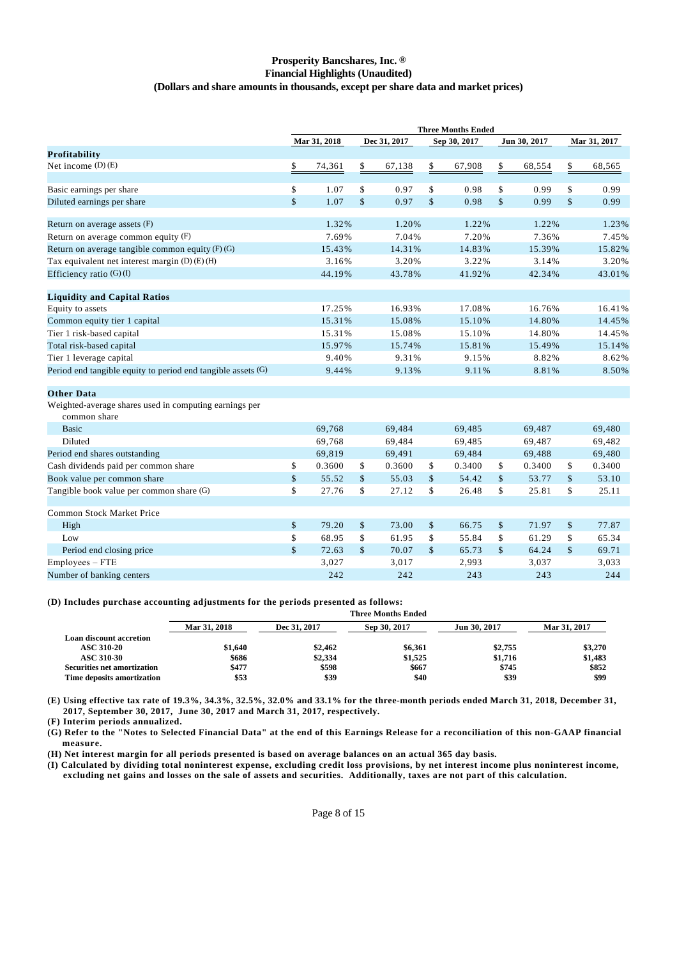### **Prosperity Bancshares, Inc. ® Financial Highlights (Unaudited) (Dollars and share amounts in thousands, except per share data and market prices)**

|                                                                        |               |              |              |               | <b>Three Months Ended</b> |               |              |               |              |
|------------------------------------------------------------------------|---------------|--------------|--------------|---------------|---------------------------|---------------|--------------|---------------|--------------|
|                                                                        |               | Mar 31, 2018 | Dec 31, 2017 |               | Sep 30, 2017              |               | Jun 30, 2017 |               | Mar 31, 2017 |
| Profitability                                                          |               |              |              |               |                           |               |              |               |              |
| Net income $(D)$ $(E)$                                                 | $\frac{1}{2}$ | 74,361       | \$<br>67,138 | \$            | 67,908                    | $\frac{1}{2}$ | 68,554       | \$            | 68,565       |
|                                                                        |               |              |              |               |                           |               |              |               |              |
| Basic earnings per share                                               | \$            | 1.07         | \$<br>0.97   | \$            | 0.98                      | \$            | 0.99         | \$            | 0.99         |
| Diluted earnings per share                                             | \$            | 1.07         | \$<br>0.97   | $\mathsf{\$}$ | 0.98                      | \$            | 0.99         | $\mathsf{\$}$ | 0.99         |
| Return on average assets (F)                                           |               | 1.32%        | 1.20%        |               | 1.22%                     |               | 1.22%        |               | 1.23%        |
| Return on average common equity (F)                                    |               | 7.69%        | 7.04%        |               | 7.20%                     |               | 7.36%        |               | 7.45%        |
| Return on average tangible common equity (F) (G)                       |               | 15.43%       | 14.31%       |               | 14.83%                    |               | 15.39%       |               | 15.82%       |
| Tax equivalent net interest margin (D) (E) (H)                         |               | 3.16%        | 3.20%        |               | 3.22%                     |               | 3.14%        |               | 3.20%        |
| Efficiency ratio (G) (I)                                               |               | 44.19%       | 43.78%       |               | 41.92%                    |               | 42.34%       |               | 43.01%       |
| <b>Liquidity and Capital Ratios</b>                                    |               |              |              |               |                           |               |              |               |              |
| Equity to assets                                                       |               | 17.25%       | 16.93%       |               | 17.08%                    |               | 16.76%       |               | 16.41%       |
| Common equity tier 1 capital                                           |               | 15.31%       | 15.08%       |               | 15.10%                    |               | 14.80%       |               | 14.45%       |
| Tier 1 risk-based capital                                              |               | 15.31%       | 15.08%       |               | 15.10%                    |               | 14.80%       |               | 14.45%       |
| Total risk-based capital                                               |               | 15.97%       | 15.74%       |               | 15.81%                    |               | 15.49%       |               | 15.14%       |
| Tier 1 leverage capital                                                |               | 9.40%        | 9.31%        |               | 9.15%                     |               | 8.82%        |               | 8.62%        |
| Period end tangible equity to period end tangible assets (G)           |               | 9.44%        | 9.13%        |               | 9.11%                     |               | 8.81%        |               | 8.50%        |
| <b>Other Data</b>                                                      |               |              |              |               |                           |               |              |               |              |
| Weighted-average shares used in computing earnings per<br>common share |               |              |              |               |                           |               |              |               |              |
| <b>Basic</b>                                                           |               | 69,768       | 69,484       |               | 69,485                    |               | 69,487       |               | 69,480       |
| Diluted                                                                |               | 69,768       | 69,484       |               | 69,485                    |               | 69,487       |               | 69,482       |
| Period end shares outstanding                                          |               | 69,819       | 69,491       |               | 69,484                    |               | 69,488       |               | 69,480       |
| Cash dividends paid per common share                                   | \$            | 0.3600       | \$<br>0.3600 | \$            | 0.3400                    | \$            | 0.3400       | \$            | 0.3400       |
| Book value per common share                                            | \$            | 55.52        | \$<br>55.03  | \$            | 54.42                     | \$            | 53.77        | \$            | 53.10        |
| Tangible book value per common share (G)                               | \$            | 27.76        | \$<br>27.12  | \$            | 26.48                     | \$            | 25.81        | \$            | 25.11        |
| <b>Common Stock Market Price</b>                                       |               |              |              |               |                           |               |              |               |              |
| High                                                                   | \$            | 79.20        | \$<br>73.00  | \$            | 66.75                     | \$            | 71.97        | \$            | 77.87        |
| Low                                                                    | \$            | 68.95        | \$<br>61.95  | \$            | 55.84                     | \$            | 61.29        | \$            | 65.34        |
| Period end closing price                                               | \$            | 72.63        | \$<br>70.07  | $\mathsf{\$}$ | 65.73                     | \$            | 64.24        | $\mathsf{\$}$ | 69.71        |
| $Emplorees - FTE$                                                      |               | 3.027        | 3,017        |               | 2.993                     |               | 3,037        |               | 3.033        |

Number of banking centers 242 242 243 243 244

**(D) Includes purchase accounting adjustments for the periods presented as follows:**

| Mar 31, 2018 | Dec 31, 2017 | Sep 30, 2017 | Jun 30, 2017              | Mar 31, 2017 |
|--------------|--------------|--------------|---------------------------|--------------|
|              |              |              |                           |              |
| \$1,640      | \$2,462      | \$6,361      | \$2,755                   | \$3,270      |
| \$686        | \$2,334      | \$1,525      | \$1,716                   | \$1,483      |
| \$477        | \$598        | \$667        | \$745                     | \$852        |
| \$53         | \$39         | \$40         | \$39                      | \$99         |
|              |              |              | <b>Three Months Ended</b> |              |

**(E) Using effective tax rate of 19.3%, 34.3%, 32.5%, 32.0% and 33.1% for the three-month periods ended March 31, 2018, December 31, 2017, September 30, 2017, June 30, 2017 and March 31, 2017, respectively.**

**(F) Interim periods annualized.**

**(G) Refer to the "Notes to Selected Financial Data" at the end of this Earnings Release for a reconciliation of this non-GAAP financial measure.**

**(H) Net interest margin for all periods presented is based on average balances on an actual 365 day basis.**

**(I) Calculated by dividing total noninterest expense, excluding credit loss provisions, by net interest income plus noninterest income, excluding net gains and losses on the sale of assets and securities. Additionally, taxes are not part of this calculation.**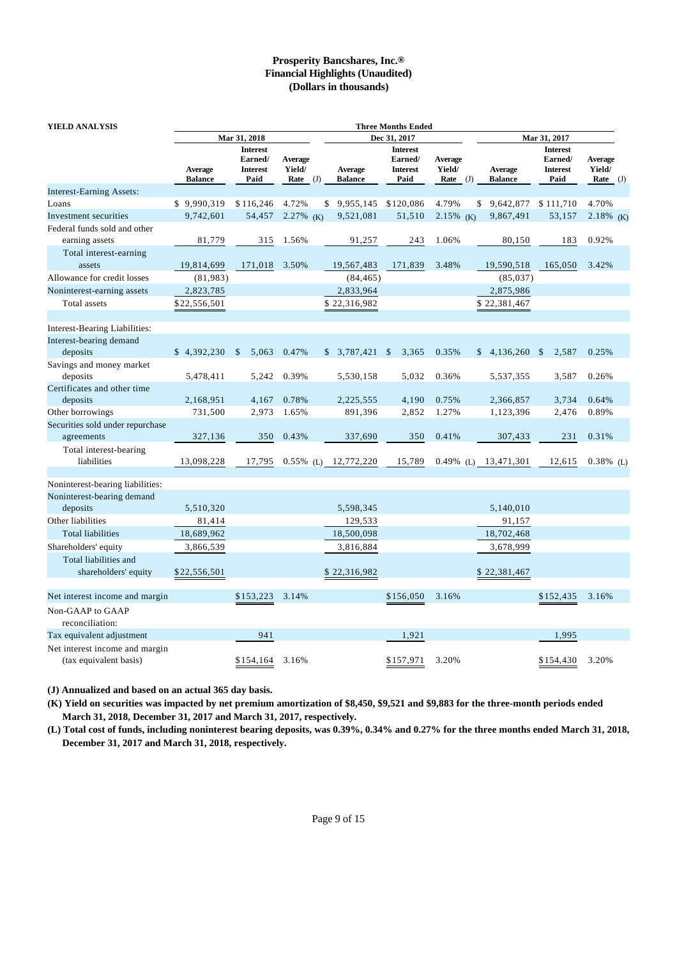| YIELD ANALYSIS                          |                                  |                                                       |                                        |    |                           | <b>Three Months Ended</b>                             |                                        |                                  |                                                       |                                 |
|-----------------------------------------|----------------------------------|-------------------------------------------------------|----------------------------------------|----|---------------------------|-------------------------------------------------------|----------------------------------------|----------------------------------|-------------------------------------------------------|---------------------------------|
|                                         |                                  | Mar 31, 2018                                          |                                        |    |                           | Dec 31, 2017                                          |                                        |                                  | Mar 31, 2017                                          |                                 |
|                                         | <b>Average</b><br><b>Balance</b> | <b>Interest</b><br>Earned/<br><b>Interest</b><br>Paid | Average<br>Yield/<br><b>Rate</b> $(J)$ |    | Average<br><b>Balance</b> | <b>Interest</b><br>Earned/<br><b>Interest</b><br>Paid | Average<br>Yield/<br><b>Rate</b> $(J)$ | <b>Average</b><br><b>Balance</b> | <b>Interest</b><br>Earned/<br><b>Interest</b><br>Paid | Average<br>Yield/<br>Rate $(J)$ |
| <b>Interest-Earning Assets:</b>         |                                  |                                                       |                                        |    |                           |                                                       |                                        |                                  |                                                       |                                 |
| Loans                                   | \$9,990,319                      | \$116,246                                             | 4.72%                                  | S  | 9,955,145                 | \$120,086                                             | 4.79%                                  | \$<br>9,642,877                  | \$111,710                                             | 4.70%                           |
| Investment securities                   | 9,742,601                        | 54,457                                                | $2.27\%$ (K)                           |    | 9,521,081                 | 51,510                                                | $2.15\%$ (K)                           | 9,867,491                        | 53,157                                                | $2.18\%$ (K)                    |
| Federal funds sold and other            |                                  |                                                       |                                        |    |                           |                                                       |                                        |                                  |                                                       |                                 |
| earning assets                          | 81,779                           | 315                                                   | 1.56%                                  |    | 91,257                    | 243                                                   | 1.06%                                  | 80.150                           | 183                                                   | 0.92%                           |
| Total interest-earning                  |                                  |                                                       |                                        |    |                           |                                                       |                                        |                                  |                                                       |                                 |
| assets                                  | 19,814,699                       | 171,018                                               | 3.50%                                  |    | 19,567,483                | 171,839                                               | 3.48%                                  | 19,590,518                       | 165,050                                               | 3.42%                           |
| Allowance for credit losses             | (81,983)                         |                                                       |                                        |    | (84, 465)                 |                                                       |                                        | (85,037)                         |                                                       |                                 |
| Noninterest-earning assets              | 2,823,785                        |                                                       |                                        |    | 2,833,964                 |                                                       |                                        | 2,875,986                        |                                                       |                                 |
| Total assets                            | \$22,556,501                     |                                                       |                                        |    | \$22,316,982              |                                                       |                                        | \$22,381,467                     |                                                       |                                 |
|                                         |                                  |                                                       |                                        |    |                           |                                                       |                                        |                                  |                                                       |                                 |
| Interest-Bearing Liabilities:           |                                  |                                                       |                                        |    |                           |                                                       |                                        |                                  |                                                       |                                 |
| Interest-bearing demand                 |                                  |                                                       |                                        |    |                           |                                                       |                                        |                                  |                                                       |                                 |
| deposits                                | \$4,392,230                      | \$<br>5,063                                           | 0.47%                                  | \$ | 3,787,421 \$              | 3,365                                                 | 0.35%                                  | 4,136,260<br>\$                  | $\mathbb{S}$<br>2,587                                 | 0.25%                           |
| Savings and money market                |                                  |                                                       | 0.39%                                  |    |                           |                                                       | 0.36%                                  |                                  |                                                       | 0.26%                           |
| deposits<br>Certificates and other time | 5,478,411                        | 5.242                                                 |                                        |    | 5,530,158                 | 5,032                                                 |                                        | 5,537,355                        | 3,587                                                 |                                 |
| deposits                                | 2,168,951                        | 4.167                                                 | 0.78%                                  |    | 2,225,555                 | 4,190                                                 | 0.75%                                  | 2.366.857                        | 3,734                                                 | 0.64%                           |
| Other borrowings                        | 731,500                          | 2,973                                                 | 1.65%                                  |    | 891,396                   | 2,852                                                 | 1.27%                                  | 1,123,396                        | 2,476                                                 | 0.89%                           |
| Securities sold under repurchase        |                                  |                                                       |                                        |    |                           |                                                       |                                        |                                  |                                                       |                                 |
| agreements                              | 327,136                          | 350                                                   | 0.43%                                  |    | 337,690                   | 350                                                   | 0.41%                                  | 307,433                          | 231                                                   | 0.31%                           |
| Total interest-bearing                  |                                  |                                                       |                                        |    |                           |                                                       |                                        |                                  |                                                       |                                 |
| liabilities                             | 13,098,228                       | 17,795                                                | $0.55\%$ (L)                           |    | 12,772,220                | 15,789                                                | $0.49\%$ (L)                           | 13,471,301                       | 12,615                                                | $0.38\%$ (L)                    |
|                                         |                                  |                                                       |                                        |    |                           |                                                       |                                        |                                  |                                                       |                                 |
| Noninterest-bearing liabilities:        |                                  |                                                       |                                        |    |                           |                                                       |                                        |                                  |                                                       |                                 |
| Noninterest-bearing demand              |                                  |                                                       |                                        |    |                           |                                                       |                                        |                                  |                                                       |                                 |
| deposits                                | 5,510,320                        |                                                       |                                        |    | 5,598,345                 |                                                       |                                        | 5,140,010                        |                                                       |                                 |
| Other liabilities                       | 81,414                           |                                                       |                                        |    | 129,533                   |                                                       |                                        | 91,157                           |                                                       |                                 |
| <b>Total liabilities</b>                | 18,689,962                       |                                                       |                                        |    | 18,500,098                |                                                       |                                        | 18,702,468                       |                                                       |                                 |
| Shareholders' equity                    | 3,866,539                        |                                                       |                                        |    | 3,816,884                 |                                                       |                                        | 3,678,999                        |                                                       |                                 |
| Total liabilities and                   |                                  |                                                       |                                        |    |                           |                                                       |                                        |                                  |                                                       |                                 |
| shareholders' equity                    | \$22,556,501                     |                                                       |                                        |    | \$22,316,982              |                                                       |                                        | \$22,381,467                     |                                                       |                                 |
|                                         |                                  |                                                       |                                        |    |                           |                                                       |                                        |                                  |                                                       |                                 |
| Net interest income and margin          |                                  | \$153,223                                             | 3.14%                                  |    |                           | \$156,050                                             | 3.16%                                  |                                  | \$152,435                                             | 3.16%                           |
| Non-GAAP to GAAP<br>reconciliation:     |                                  |                                                       |                                        |    |                           |                                                       |                                        |                                  |                                                       |                                 |
| Tax equivalent adjustment               |                                  | 941                                                   |                                        |    |                           | 1,921                                                 |                                        |                                  | 1,995                                                 |                                 |
| Net interest income and margin          |                                  |                                                       |                                        |    |                           |                                                       |                                        |                                  |                                                       |                                 |
| (tax equivalent basis)                  |                                  | \$154,164                                             | 3.16%                                  |    |                           | \$157,971                                             | 3.20%                                  |                                  | \$154,430                                             | 3.20%                           |

**(J) Annualized and based on an actual 365 day basis.**

**(K) Yield on securities was impacted by net premium amortization of \$8,450, \$9,521 and \$9,883 for the three-month periods ended March 31, 2018, December 31, 2017 and March 31, 2017, respectively.**

**(L) Total cost of funds, including noninterest bearing deposits, was 0.39%, 0.34% and 0.27% for the three months ended March 31, 2018, December 31, 2017 and March 31, 2018, respectively.**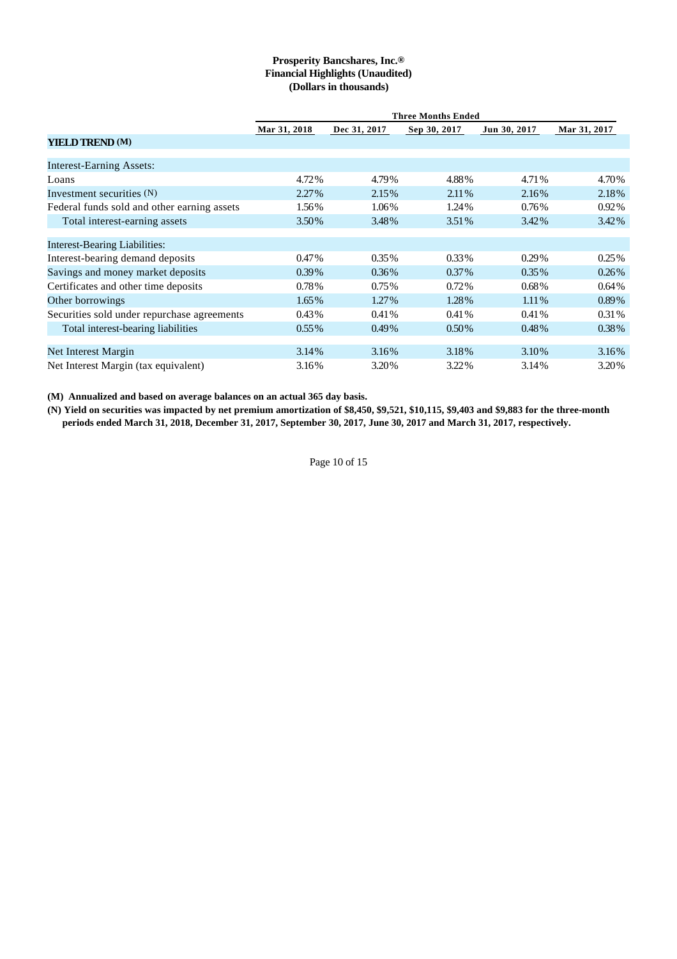|                                             |              |              | <b>Three Months Ended</b> |              |              |
|---------------------------------------------|--------------|--------------|---------------------------|--------------|--------------|
|                                             | Mar 31, 2018 | Dec 31, 2017 | Sep 30, 2017              | Jun 30, 2017 | Mar 31, 2017 |
| <b>YIELD TREND (M)</b>                      |              |              |                           |              |              |
|                                             |              |              |                           |              |              |
| <b>Interest-Earning Assets:</b>             |              |              |                           |              |              |
| Loans                                       | 4.72%        | 4.79%        | 4.88%                     | 4.71%        | 4.70%        |
| Investment securities (N)                   | 2.27%        | 2.15%        | 2.11%                     | 2.16%        | 2.18%        |
| Federal funds sold and other earning assets | 1.56%        | 1.06%        | 1.24%                     | 0.76%        | 0.92%        |
| Total interest-earning assets               | 3.50%        | 3.48%        | 3.51%                     | 3.42%        | 3.42%        |
|                                             |              |              |                           |              |              |
| <b>Interest-Bearing Liabilities:</b>        |              |              |                           |              |              |
| Interest-bearing demand deposits            | $0.47\%$     | $0.35\%$     | $0.33\%$                  | 0.29%        | $0.25\%$     |
| Savings and money market deposits           | $0.39\%$     | $0.36\%$     | $0.37\%$                  | $0.35\%$     | $0.26\%$     |
| Certificates and other time deposits        | 0.78%        | 0.75%        | 0.72%                     | 0.68%        | $0.64\%$     |
| Other borrowings                            | 1.65%        | 1.27%        | 1.28%                     | 1.11%        | 0.89%        |
| Securities sold under repurchase agreements | $0.43\%$     | 0.41%        | 0.41%                     | 0.41%        | 0.31%        |
| Total interest-bearing liabilities          | $0.55\%$     | $0.49\%$     | 0.50%                     | 0.48%        | 0.38%        |
| Net Interest Margin                         | 3.14%        | 3.16%        | 3.18%                     | 3.10%        | 3.16%        |
| Net Interest Margin (tax equivalent)        | 3.16%        | 3.20%        | 3.22%                     | 3.14%        | 3.20%        |

**(M) Annualized and based on average balances on an actual 365 day basis.**

**(N) Yield on securities was impacted by net premium amortization of \$8,450, \$9,521, \$10,115, \$9,403 and \$9,883 for the three-month periods ended March 31, 2018, December 31, 2017, September 30, 2017, June 30, 2017 and March 31, 2017, respectively.**

Page 10 of 15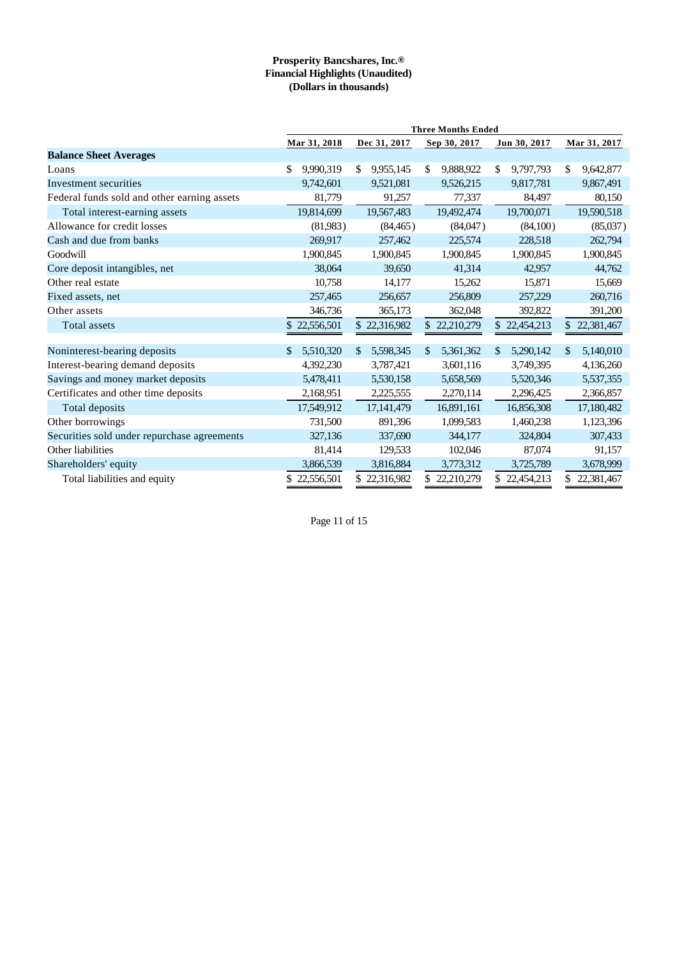|                                             |                 |                 | <b>Three Months Ended</b> |                 |                             |
|---------------------------------------------|-----------------|-----------------|---------------------------|-----------------|-----------------------------|
|                                             | Mar 31, 2018    | Dec 31, 2017    | Sep 30, 2017              | Jun 30, 2017    | Mar 31, 2017                |
| <b>Balance Sheet Averages</b>               |                 |                 |                           |                 |                             |
| Loans                                       | \$<br>9,990,319 | 9,955,145<br>\$ | \$<br>9,888,922           | \$<br>9,797,793 | \$<br>9,642,877             |
| Investment securities                       | 9,742,601       | 9,521,081       | 9,526,215                 | 9,817,781       | 9,867,491                   |
| Federal funds sold and other earning assets | 81,779          | 91,257          | 77,337                    | 84,497          | 80,150                      |
| Total interest-earning assets               | 19,814,699      | 19,567,483      | 19,492,474                | 19,700,071      | 19,590,518                  |
| Allowance for credit losses                 | (81,983)        | (84, 465)       | (84,047)                  | (84,100)        | (85,037)                    |
| Cash and due from banks                     | 269,917         | 257,462         | 225,574                   | 228,518         | 262,794                     |
| Goodwill                                    | 1,900,845       | 1,900,845       | 1,900,845                 | 1,900,845       | 1,900,845                   |
| Core deposit intangibles, net               | 38,064          | 39,650          | 41,314                    | 42,957          | 44,762                      |
| Other real estate                           | 10,758          | 14,177          | 15,262                    | 15,871          | 15,669                      |
| Fixed assets, net                           | 257,465         | 256,657         | 256,809                   | 257,229         | 260,716                     |
| Other assets                                | 346,736         | 365,173         | 362,048                   | 392,822         | 391,200                     |
| Total assets                                | \$22,556,501    | \$22,316,982    | \$22,210,279              | \$22,454,213    | 22,381,467<br>$\mathcal{S}$ |
| Noninterest-bearing deposits                | 5,510,320       | 5,598,345<br>\$ | \$<br>5,361,362           | \$<br>5,290,142 | 5,140,010<br>\$             |
| Interest-bearing demand deposits            | 4,392,230       | 3,787,421       | 3,601,116                 | 3,749,395       | 4,136,260                   |
| Savings and money market deposits           | 5,478,411       | 5,530,158       | 5,658,569                 | 5,520,346       | 5,537,355                   |
| Certificates and other time deposits        | 2,168,951       | 2,225,555       | 2,270,114                 | 2,296,425       | 2,366,857                   |
| Total deposits                              | 17,549,912      | 17, 141, 479    | 16,891,161                | 16,856,308      | 17,180,482                  |
| Other borrowings                            | 731,500         | 891,396         | 1,099,583                 | 1,460,238       | 1,123,396                   |
| Securities sold under repurchase agreements | 327,136         | 337,690         | 344,177                   | 324,804         | 307,433                     |
| Other liabilities                           | 81,414          | 129,533         | 102,046                   | 87,074          | 91,157                      |
| Shareholders' equity                        | 3,866,539       | 3,816,884       | 3,773,312                 | 3,725,789       | 3,678,999                   |
| Total liabilities and equity                | 22,556,501      | 22,316,982      | 22,210,279                | 22,454,213      | 22,381,467<br>S             |

Page 11 of 15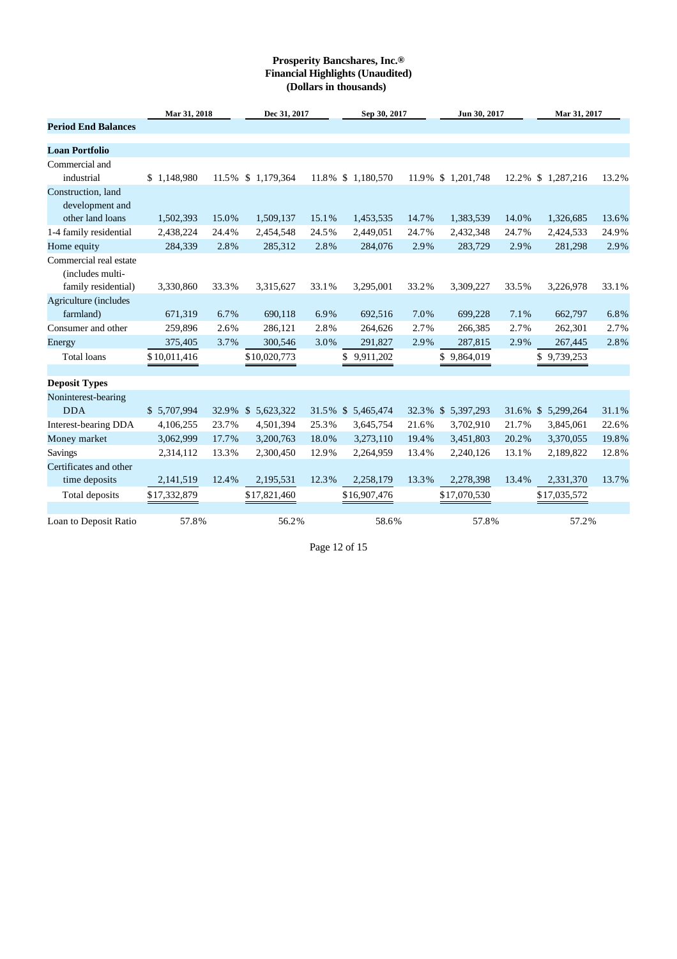|                                                                   | Mar 31, 2018 |       |              | Dec 31, 2017 |                    | Sep 30, 2017 |              | Jun 30, 2017 |                    | Mar 31, 2017 |
|-------------------------------------------------------------------|--------------|-------|--------------|--------------|--------------------|--------------|--------------|--------------|--------------------|--------------|
| <b>Period End Balances</b>                                        |              |       |              |              |                    |              |              |              |                    |              |
| <b>Loan Portfolio</b>                                             |              |       |              |              |                    |              |              |              |                    |              |
| Commercial and                                                    |              |       |              |              |                    |              |              |              |                    |              |
| industrial                                                        | \$1,148,980  | 11.5% | \$1,179,364  | 11.8%        | \$1,180,570        | 11.9%        | \$1,201,748  |              | 12.2% \$ 1,287,216 | 13.2%        |
| Construction, land<br>development and                             |              |       |              |              |                    |              |              |              |                    |              |
| other land loans                                                  | 1,502,393    | 15.0% | 1,509,137    | 15.1%        | 1,453,535          | 14.7%        | 1,383,539    | 14.0%        | 1,326,685          | 13.6%        |
| 1-4 family residential                                            | 2,438,224    | 24.4% | 2,454,548    | 24.5%        | 2,449,051          | 24.7%        | 2,432,348    | 24.7%        | 2,424,533          | 24.9%        |
| Home equity                                                       | 284,339      | 2.8%  | 285,312      | 2.8%         | 284,076            | 2.9%         | 283,729      | 2.9%         | 281,298            | 2.9%         |
| Commercial real estate<br>(includes multi-<br>family residential) | 3,330,860    | 33.3% | 3,315,627    | 33.1%        | 3,295,001          | 33.2%        | 3,309,227    | 33.5%        | 3,226,978          | 33.1%        |
| Agriculture (includes                                             |              |       |              |              |                    |              |              |              |                    |              |
| farmland)                                                         | 671,319      | 6.7%  | 690,118      | 6.9%         | 692,516            | 7.0%         | 699,228      | 7.1%         | 662,797            | 6.8%         |
| Consumer and other                                                | 259,896      | 2.6%  | 286,121      | 2.8%         | 264,626            | 2.7%         | 266,385      | 2.7%         | 262,301            | 2.7%         |
| Energy                                                            | 375,405      | 3.7%  | 300,546      | 3.0%         | 291,827            | 2.9%         | 287,815      | 2.9%         | 267,445            | 2.8%         |
| <b>Total loans</b>                                                | \$10,011,416 |       | \$10,020,773 |              | \$9,911,202        |              | \$9,864,019  |              | \$9,739,253        |              |
| <b>Deposit Types</b>                                              |              |       |              |              |                    |              |              |              |                    |              |
| Noninterest-bearing                                               |              |       |              |              |                    |              |              |              |                    |              |
| <b>DDA</b>                                                        | \$5,707,994  | 32.9% | \$5,623,322  |              | 31.5% \$ 5,465,474 | 32.3%        | \$5,397,293  | 31.6%        | \$5,299,264        | 31.1%        |
| <b>Interest-bearing DDA</b>                                       | 4,106,255    | 23.7% | 4,501,394    | 25.3%        | 3,645,754          | 21.6%        | 3,702,910    | 21.7%        | 3,845,061          | 22.6%        |
| Money market                                                      | 3,062,999    | 17.7% | 3,200,763    | 18.0%        | 3,273,110          | 19.4%        | 3,451,803    | 20.2%        | 3,370,055          | 19.8%        |
| Savings                                                           | 2,314,112    | 13.3% | 2,300,450    | 12.9%        | 2,264,959          | 13.4%        | 2,240,126    | 13.1%        | 2,189,822          | 12.8%        |
| Certificates and other<br>time deposits                           | 2,141,519    | 12.4% | 2,195,531    | 12.3%        | 2,258,179          | 13.3%        | 2,278,398    | 13.4%        | 2,331,370          | 13.7%        |
| Total deposits                                                    | \$17,332,879 |       | \$17,821,460 |              | \$16,907,476       |              | \$17,070,530 |              | \$17,035,572       |              |
|                                                                   |              |       |              |              |                    |              |              |              |                    |              |
| Loan to Deposit Ratio                                             | 57.8%        |       | 56.2%        |              | 58.6%              |              | 57.8%        |              | 57.2%              |              |

Page 12 of 15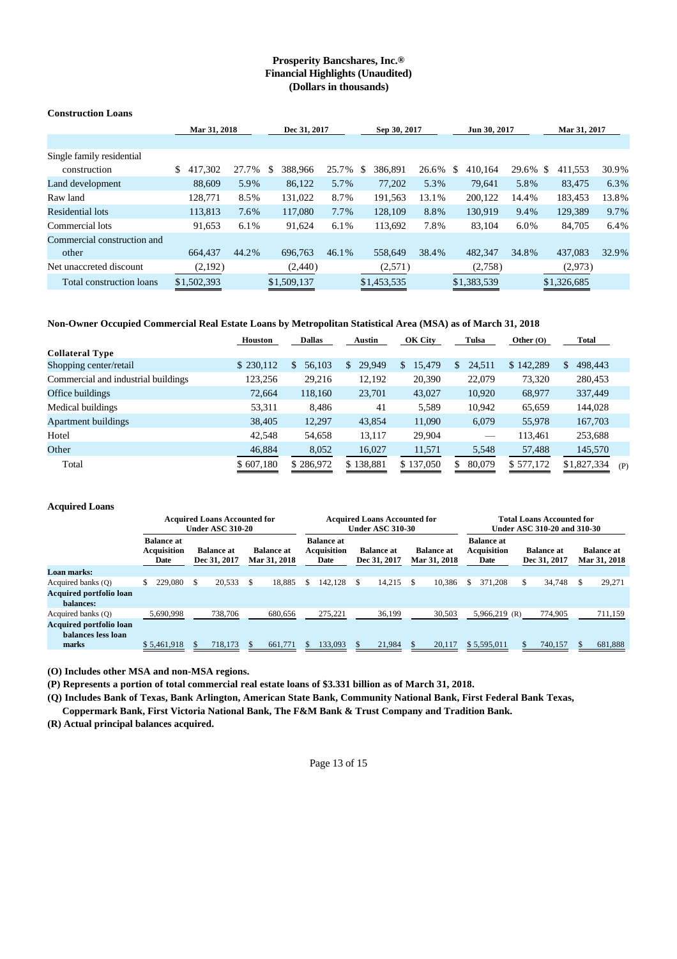### **Construction Loans**

|                             | Mar 31, 2018  |         | Dec 31, 2017 |       | Sep 30, 2017  |       | Jun 30, 2017  |       | Mar 31, 2017 |       |
|-----------------------------|---------------|---------|--------------|-------|---------------|-------|---------------|-------|--------------|-------|
|                             |               |         |              |       |               |       |               |       |              |       |
| Single family residential   |               |         |              |       |               |       |               |       |              |       |
| construction                | 417.302<br>S. | 27.7%   | 388,966<br>S | 25.7% | \$<br>386.891 | 26.6% | \$<br>410.164 | 29.6% | 411.553<br>S | 30.9% |
| Land development            | 88,609        | 5.9%    | 86,122       | 5.7%  | 77,202        | 5.3%  | 79.641        | 5.8%  | 83.475       | 6.3%  |
| Raw land                    | 128.771       | 8.5%    | 131.022      | 8.7%  | 191,563       | 13.1% | 200,122       | 14.4% | 183,453      | 13.8% |
| Residential lots            | 113.813       | 7.6%    | 117,080      | 7.7%  | 128,109       | 8.8%  | 130.919       | 9.4%  | 129.389      | 9.7%  |
| Commercial lots             | 91.653        | $6.1\%$ | 91.624       | 6.1%  | 113.692       | 7.8%  | 83.104        | 6.0%  | 84.705       | 6.4%  |
| Commercial construction and |               |         |              |       |               |       |               |       |              |       |
| other                       | 664,437       | 44.2%   | 696,763      | 46.1% | 558,649       | 38.4% | 482,347       | 34.8% | 437.083      | 32.9% |
| Net unaccreted discount     | (2,192)       |         | (2,440)      |       | (2,571)       |       | (2,758)       |       | (2,973)      |       |
| Total construction loans    | \$1,502,393   |         | \$1,509,137  |       | \$1,453,535   |       | \$1,383,539   |       | \$1,326,685  |       |

# **Non-Owner Occupied Commercial Real Estate Loans by Metropolitan Statistical Area (MSA) as of March 31, 2018**

|                                     | <b>Houston</b> | <b>Dallas</b> | Austin       | OK City      | Tulsa        | Other $(0)$ | <b>Total</b>             |     |
|-------------------------------------|----------------|---------------|--------------|--------------|--------------|-------------|--------------------------|-----|
| <b>Collateral Type</b>              |                |               |              |              |              |             |                          |     |
| Shopping center/retail              | \$230,112      | 56,103<br>S   | 29.949<br>\$ | 15,479<br>S. | 24.511<br>S. | \$142,289   | $\mathcal{S}$<br>498,443 |     |
| Commercial and industrial buildings | 123,256        | 29,216        | 12,192       | 20,390       | 22,079       | 73,320      | 280,453                  |     |
| Office buildings                    | 72,664         | 118,160       | 23,701       | 43,027       | 10,920       | 68,977      | 337,449                  |     |
| Medical buildings                   | 53,311         | 8,486         | 41           | 5,589        | 10,942       | 65,659      | 144,028                  |     |
| Apartment buildings                 | 38,405         | 12,297        | 43,854       | 11,090       | 6.079        | 55,978      | 167,703                  |     |
| Hotel                               | 42.548         | 54,658        | 13,117       | 29,904       | $\sim$       | 113.461     | 253,688                  |     |
| Other                               | 46,884         | 8,052         | 16,027       | 11,571       | 5,548        | 57,488      | 145,570                  |     |
| Total                               | \$607,180      | \$286,972     | \$138,881    | \$137,050    | 80,079       | \$577,172   | \$1,827,334              | (P) |
|                                     |                |               |              |              |              |             |                          |     |

### **Acquired Loans**

|                                                               |                                                 | <b>Acquired Loans Accounted for</b><br><b>Under ASC 310-20</b> |                                   |                                          | <b>Acquired Loans Accounted for</b><br>Under ASC 310-30 |                                   | <b>Total Loans Accounted for</b><br>Under ASC 310-20 and 310-30 |                                   |                                   |  |
|---------------------------------------------------------------|-------------------------------------------------|----------------------------------------------------------------|-----------------------------------|------------------------------------------|---------------------------------------------------------|-----------------------------------|-----------------------------------------------------------------|-----------------------------------|-----------------------------------|--|
|                                                               | <b>Balance at</b><br><b>Acquisition</b><br>Date | <b>Balance</b> at<br>Dec 31, 2017                              | <b>Balance at</b><br>Mar 31, 2018 | <b>Balance at</b><br>Acquisition<br>Date | <b>Balance at</b><br>Dec 31, 2017                       | <b>Balance</b> at<br>Mar 31, 2018 | <b>Balance at</b><br><b>Acquisition</b><br>Date                 | <b>Balance at</b><br>Dec 31, 2017 | <b>Balance at</b><br>Mar 31, 2018 |  |
| <b>Loan marks:</b>                                            |                                                 |                                                                |                                   |                                          |                                                         |                                   |                                                                 |                                   |                                   |  |
| Acquired banks (O)                                            | 229,080                                         | 20.533<br>\$                                                   | \$<br>18.885                      | \$<br>142.128                            | 14,215<br>£.                                            | 10.386<br>£.                      | 371.208<br>\$.                                                  | 34,748<br>S                       | 29,271<br>S                       |  |
| <b>Acquired portfolio loan</b><br>balances:                   |                                                 |                                                                |                                   |                                          |                                                         |                                   |                                                                 |                                   |                                   |  |
| Acquired banks (Q)                                            | 5.690.998                                       | 738,706                                                        | 680,656                           | 275,221                                  | 36,199                                                  | 30,503                            | 5,966,219 (R)                                                   | 774,905                           | 711,159                           |  |
| <b>Acquired portfolio loan</b><br>balances less loan<br>marks | \$5,461,918                                     | 718,173<br>S                                                   | 661,771<br>ж                      | 133,093<br>S.                            | 21.984                                                  | \$.<br>20,117                     | \$5,595,011                                                     | 740,157                           | 681,888                           |  |
|                                                               |                                                 |                                                                |                                   |                                          |                                                         |                                   |                                                                 |                                   |                                   |  |

**(O) Includes other MSA and non-MSA regions.**

**(P) Represents a portion of total commercial real estate loans of \$3.331 billion as of March 31, 2018.**

**(Q) Includes Bank of Texas, Bank Arlington, American State Bank, Community National Bank, First Federal Bank Texas,**

**Coppermark Bank, First Victoria National Bank, The F&M Bank & Trust Company and Tradition Bank.**

**(R) Actual principal balances acquired.**

Page 13 of 15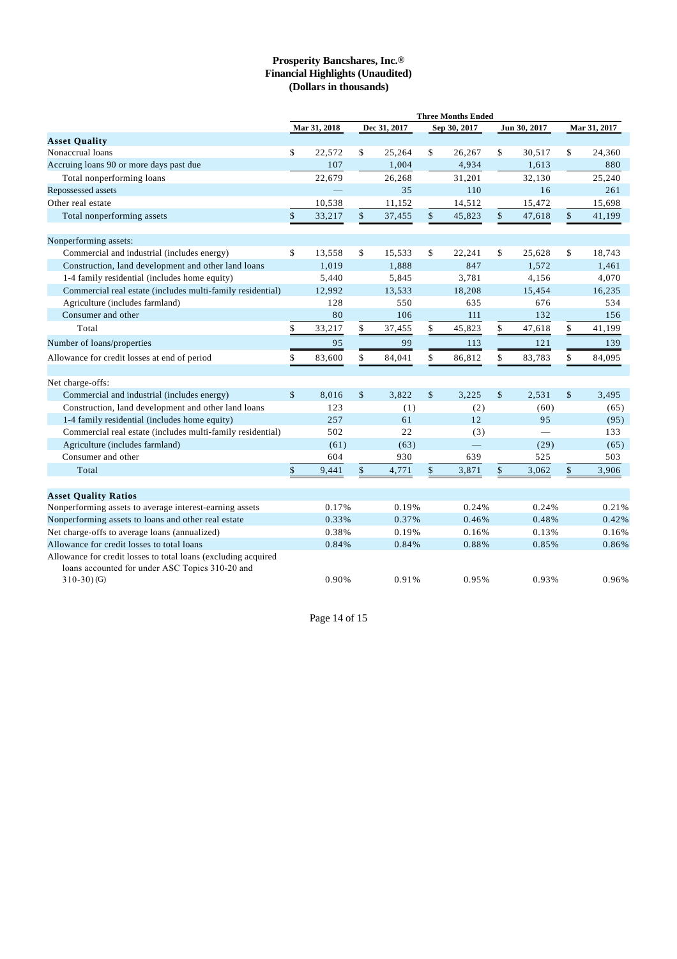|                                                                                                                   |              |              | <b>Three Months Ended</b> |              |              |              |
|-------------------------------------------------------------------------------------------------------------------|--------------|--------------|---------------------------|--------------|--------------|--------------|
|                                                                                                                   | Mar 31, 2018 | Dec 31, 2017 | Sep 30, 2017              | Jun 30, 2017 |              | Mar 31, 2017 |
| <b>Asset Quality</b>                                                                                              |              |              |                           |              |              |              |
| Nonaccrual loans                                                                                                  | \$<br>22,572 | \$<br>25,264 | \$<br>26.267              | \$<br>30,517 | \$           | 24,360       |
| Accruing loans 90 or more days past due                                                                           | 107          | 1,004        | 4,934                     | 1,613        |              | 880          |
| Total nonperforming loans                                                                                         | 22,679       | 26,268       | 31,201                    | 32,130       |              | 25,240       |
| Repossessed assets                                                                                                |              | 35           | 110                       | 16           |              | 261          |
| Other real estate                                                                                                 | 10,538       | 11.152       | 14,512                    | 15,472       |              | 15.698       |
| Total nonperforming assets                                                                                        | \$<br>33,217 | \$<br>37,455 | \$<br>45,823              | \$<br>47,618 | \$           | 41,199       |
| Nonperforming assets:                                                                                             |              |              |                           |              |              |              |
| Commercial and industrial (includes energy)                                                                       | \$<br>13,558 | \$<br>15,533 | \$<br>22,241              | \$<br>25,628 | \$           | 18,743       |
| Construction, land development and other land loans                                                               | 1,019        | 1,888        | 847                       | 1,572        |              | 1,461        |
| 1-4 family residential (includes home equity)                                                                     | 5,440        | 5,845        | 3,781                     | 4,156        |              | 4,070        |
| Commercial real estate (includes multi-family residential)                                                        | 12,992       | 13,533       | 18,208                    | 15,454       |              | 16,235       |
| Agriculture (includes farmland)                                                                                   | 128          | 550          | 635                       | 676          |              | 534          |
| Consumer and other                                                                                                | 80           | 106          | 111                       | 132          |              | 156          |
| Total                                                                                                             | \$<br>33,217 | \$<br>37,455 | \$<br>45,823              | \$<br>47,618 | \$           | 41,199       |
| Number of loans/properties                                                                                        | 95           | 99           | 113                       | 121          |              | 139          |
| Allowance for credit losses at end of period                                                                      | \$<br>83,600 | \$<br>84,041 | \$<br>86,812              | \$<br>83,783 | \$           | 84,095       |
| Net charge-offs:                                                                                                  |              |              |                           |              |              |              |
| Commercial and industrial (includes energy)                                                                       | \$<br>8,016  | \$<br>3,822  | \$<br>3,225               | \$<br>2,531  | \$           | 3,495        |
| Construction, land development and other land loans                                                               | 123          | (1)          | (2)                       | (60)         |              | (65)         |
| 1-4 family residential (includes home equity)                                                                     | 257          | 61           | 12                        | 95           |              | (95)         |
| Commercial real estate (includes multi-family residential)                                                        | 502          | 22           | (3)                       |              |              | 133          |
| Agriculture (includes farmland)                                                                                   | (61)         | (63)         |                           | (29)         |              | (65)         |
| Consumer and other                                                                                                | 604          | 930          | 639                       | 525          |              | 503          |
| Total                                                                                                             | \$<br>9,441  | \$<br>4,771  | \$<br>3,871               | \$<br>3,062  | $\mathbb{S}$ | 3,906        |
| <b>Asset Quality Ratios</b>                                                                                       |              |              |                           |              |              |              |
| Nonperforming assets to average interest-earning assets                                                           | 0.17%        | 0.19%        | 0.24%                     | 0.24%        |              | 0.21%        |
| Nonperforming assets to loans and other real estate                                                               | 0.33%        | 0.37%        | 0.46%                     | 0.48%        |              | 0.42%        |
| Net charge-offs to average loans (annualized)                                                                     | 0.38%        | 0.19%        | 0.16%                     | 0.13%        |              | 0.16%        |
| Allowance for credit losses to total loans                                                                        | 0.84%        | 0.84%        | 0.88%                     | 0.85%        |              | 0.86%        |
| Allowance for credit losses to total loans (excluding acquired<br>loans accounted for under ASC Topics 310-20 and |              |              |                           |              |              |              |
| $310-30$ ) (G)                                                                                                    | 0.90%        | 0.91%        | 0.95%                     | 0.93%        |              | 0.96%        |

Page 14 of 15